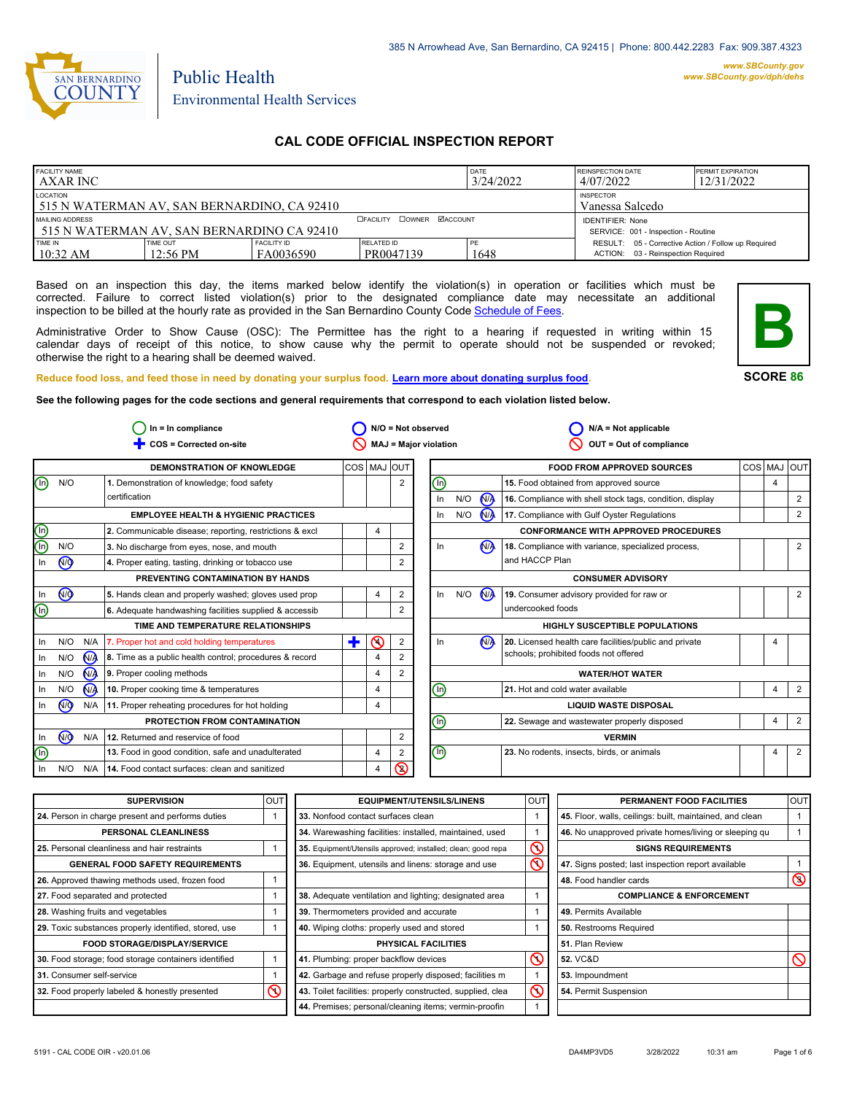

# Public Health Environmental Health Services

## **CAL CODE OFFICIAL INSPECTION REPORT**

| <b>FACILITY NAME</b><br><b>AXAR INC</b>                        |                                |                                                                |                         | DATE<br>3/24/2022 | <b>REINSPECTION DATE</b><br>4/07/2022                                                     | <b>PERMIT EXPIRATION</b><br>12/31/2022 |
|----------------------------------------------------------------|--------------------------------|----------------------------------------------------------------|-------------------------|-------------------|-------------------------------------------------------------------------------------------|----------------------------------------|
| LOCATION<br>515 N WATERMAN AV, SAN BERNARDINO, CA 92410        |                                | <b>INSPECTOR</b><br>Vanessa Salcedo                            |                         |                   |                                                                                           |                                        |
| MAILING ADDRESS<br>1515 N WATERMAN AV, SAN BERNARDINO CA 92410 |                                | <b>IDENTIFIER: None</b><br>SERVICE: 001 - Inspection - Routine |                         |                   |                                                                                           |                                        |
| TIME IN<br>10:32 AM                                            | TIME OUT<br>$12:56 \text{ PM}$ | <b>FACILITY ID</b><br>FA0036590                                | RELATED ID<br>PR0047139 | 1648              | RESULT: 05 - Corrective Action / Follow up Required<br>ACTION: 03 - Reinspection Required |                                        |

Based on an inspection this day, the items marked below identify the violation(s) in operation or facilities which must be corrected. Failure to correct listed violation(s) prior to the designated compliance date may necessitate an additional inspection to be billed at the hourly rate as provided in the San Bernardino County Co[de Schedule of Fees.](https://codelibrary.amlegal.com/codes/sanbernardino/latest/sanberncty_ca/0-0-0-122474#JD_16.0213B)

Administrative Order to Show Cause (OSC): The Permittee has the right to a hearing if requested in writing within 15 calendar days of receipt of this notice, to show cause why the permit to operate should not be suspended or revoked; otherwise the right to a hearing shall be deemed waived.



**SCORE 86**

**Reduce food loss, and feed those in need by donating your surplus f[ood. Learn more about donating surplus food.](https://wp.sbcounty.gov/dph/programs/ehs/charitable-food-service/)**

**See the following pages for the code sections and general requirements that correspond to each violation listed below.**

|                        | $In = In$ compliance |                |                                                         | $N/O = Not observed$ |                |                | $N/A = Not applicable$                                             |                          |                |                                                          |     |                |                |
|------------------------|----------------------|----------------|---------------------------------------------------------|----------------------|----------------|----------------|--------------------------------------------------------------------|--------------------------|----------------|----------------------------------------------------------|-----|----------------|----------------|
|                        |                      |                | COS = Corrected on-site                                 |                      |                |                | <b>MAJ = Major violation</b><br>OUT = Out of compliance            |                          |                |                                                          |     |                |                |
|                        |                      |                | <b>DEMONSTRATION OF KNOWLEDGE</b>                       | COS MAJ OUT          |                |                |                                                                    |                          |                | <b>FOOD FROM APPROVED SOURCES</b>                        | COS | MAJ            | loutl          |
| ⊚                      | N/O                  |                | 1. Demonstration of knowledge; food safety              |                      |                | 2              | ⓪                                                                  |                          |                | 15. Food obtained from approved source                   |     | $\overline{4}$ |                |
|                        |                      |                | certification                                           |                      |                |                | In                                                                 | N/O                      | <b>MA</b>      | 16. Compliance with shell stock tags, condition, display |     |                | 2              |
|                        |                      |                | <b>EMPLOYEE HEALTH &amp; HYGIENIC PRACTICES</b>         |                      |                |                | In                                                                 | N/O                      | $\bigwedge$    | 17. Compliance with Gulf Oyster Regulations              |     |                | 2              |
|                        |                      |                | 2. Communicable disease; reporting, restrictions & excl |                      | 4              |                |                                                                    |                          |                | <b>CONFORMANCE WITH APPROVED PROCEDURES</b>              |     |                |                |
| <u>මල</u>              | N/O                  |                | 3. No discharge from eyes, nose, and mouth              |                      |                | $\overline{2}$ | In                                                                 |                          | N <sub>A</sub> | 18. Compliance with variance, specialized process,       |     |                | 2              |
| In                     | №                    |                | 4. Proper eating, tasting, drinking or tobacco use      |                      |                | 2              |                                                                    |                          |                | and HACCP Plan                                           |     |                |                |
|                        |                      |                | PREVENTING CONTAMINATION BY HANDS                       |                      |                |                |                                                                    | <b>CONSUMER ADVISORY</b> |                |                                                          |     |                |                |
| In                     | <b>OD</b>            |                | 5. Hands clean and properly washed; gloves used prop    |                      | 4              | $\overline{2}$ | In                                                                 | N/O                      | M              | 19. Consumer advisory provided for raw or                |     |                | 2              |
| $\bm{\mathbb{\Theta}}$ |                      |                | 6. Adequate handwashing facilities supplied & accessib  |                      |                | 2              |                                                                    |                          |                | undercooked foods                                        |     |                |                |
|                        |                      |                | TIME AND TEMPERATURE RELATIONSHIPS                      |                      |                |                |                                                                    |                          |                | <b>HIGHLY SUSCEPTIBLE POPULATIONS</b>                    |     |                |                |
| In.                    | N/O                  | N/A            | 7. Proper hot and cold holding temperatures             | ٠                    | の              | 2              | In                                                                 |                          | N <sub>A</sub> | 20. Licensed health care facilities/public and private   |     | 4              |                |
| In                     | N/O                  | N <sub>/</sub> | 8. Time as a public health control; procedures & record |                      | $\overline{4}$ |                |                                                                    |                          |                | schools; prohibited foods not offered                    |     |                |                |
| In                     | N/O                  | N <sub>A</sub> | 9. Proper cooling methods                               |                      | 4              | 2              |                                                                    |                          |                | <b>WATER/HOT WATER</b>                                   |     |                |                |
| In.                    | N/O                  | <b>N/A</b>     | 10. Proper cooking time & temperatures                  |                      | 4              |                | ⓪                                                                  |                          |                | 21. Hot and cold water available                         |     | 4              | $\overline{2}$ |
| In                     | N <sub>O</sub>       | N/A            | 11. Proper reheating procedures for hot holding         |                      | 4              |                | <b>LIQUID WASTE DISPOSAL</b>                                       |                          |                |                                                          |     |                |                |
|                        |                      |                | PROTECTION FROM CONTAMINATION                           |                      |                |                | ⊚<br>$\overline{4}$<br>22. Sewage and wastewater properly disposed |                          | 2              |                                                          |     |                |                |
| In                     | $\sqrt{9}$           | N/A            | 12. Returned and reservice of food                      |                      |                | 2              |                                                                    |                          |                | <b>VERMIN</b>                                            |     |                |                |
| ⋒                      |                      |                | 13. Food in good condition, safe and unadulterated      |                      | 4              | $\overline{2}$ | $\textcircled{\scriptsize{0}}$                                     |                          |                | 23. No rodents, insects, birds, or animals               |     | $\overline{4}$ | 2              |
| In                     | N/O                  | N/A            | 14. Food contact surfaces: clean and sanitized          |                      | 4              | ৎ              |                                                                    |                          |                |                                                          |     |                |                |

| <b>SUPERVISION</b>                                    | OUT | <b>EQUIPMENT/UTENSILS/LINENS</b>                             | <b>OUT</b>              | PERMANENT FOOD FACILITIES                                | <b>OUT</b>     |
|-------------------------------------------------------|-----|--------------------------------------------------------------|-------------------------|----------------------------------------------------------|----------------|
| 24. Person in charge present and performs duties      |     | 33. Nonfood contact surfaces clean                           |                         | 45. Floor, walls, ceilings: built, maintained, and clean |                |
| PERSONAL CLEANLINESS                                  |     | 34. Warewashing facilities: installed, maintained, used      |                         | 46. No unapproved private homes/living or sleeping gu    |                |
| 25. Personal cleanliness and hair restraints          |     | 35. Equipment/Utensils approved; installed; clean; good repa | $\mathcal{C}$           | <b>SIGNS REQUIREMENTS</b>                                |                |
| <b>GENERAL FOOD SAFETY REQUIREMENTS</b>               |     | 36. Equipment, utensils and linens: storage and use          | $\overline{\mathsf{S}}$ | 47. Signs posted; last inspection report available       |                |
| 26. Approved thawing methods used, frozen food        |     |                                                              |                         | 48. Food handler cards                                   | $\circledcirc$ |
| 27. Food separated and protected                      |     | 38. Adequate ventilation and lighting; designated area       |                         | <b>COMPLIANCE &amp; ENFORCEMENT</b>                      |                |
| 28. Washing fruits and vegetables                     |     | 39. Thermometers provided and accurate                       |                         | 49. Permits Available                                    |                |
| 29. Toxic substances properly identified, stored, use |     | 40. Wiping cloths: properly used and stored                  |                         | 50. Restrooms Required                                   |                |
| <b>FOOD STORAGE/DISPLAY/SERVICE</b>                   |     | PHYSICAL FACILITIES                                          |                         | 51. Plan Review                                          |                |
| 30. Food storage; food storage containers identified  |     | 41. Plumbing: proper backflow devices                        | $\infty$                | <b>52. VC&amp;D</b>                                      | $\infty$       |
| 31. Consumer self-service                             |     | 42. Garbage and refuse properly disposed; facilities m       |                         | 53. Impoundment                                          |                |
| 32. Food properly labeled & honestly presented        | ∾   | 43. Toilet facilities: properly constructed, supplied, clea  | $\mathcal{S}$           | 54. Permit Suspension                                    |                |
|                                                       |     | 44. Premises; personal/cleaning items; vermin-proofin        |                         |                                                          |                |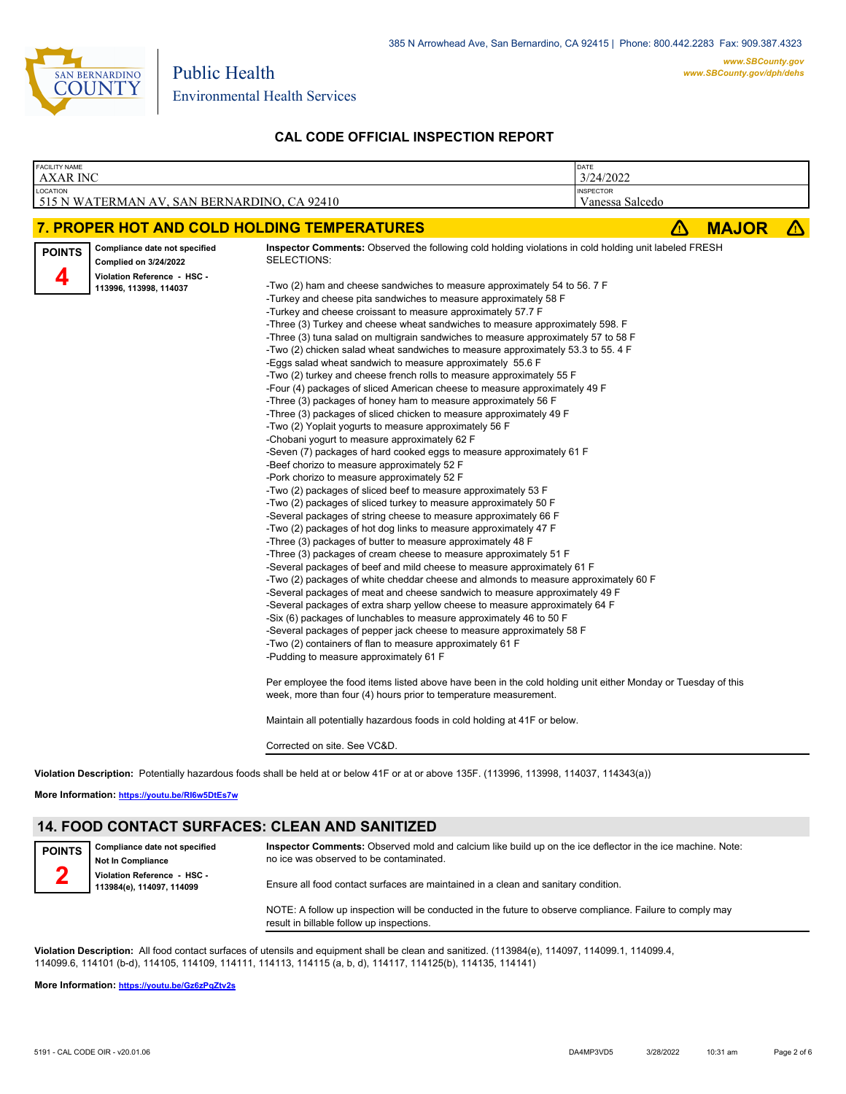

| <b>FACILITY NAME</b><br><b>AXAR INC</b>                                                                                                      | DATE<br>3/24/2022                                                                                                                                                                                                                                                                                                                                                                                                                                                                                                                                                                                                                                                                                                                                                                                                                                                                                                                                                                                                                                                                                                                                                                                                                                                                                                                                                                                                                                                                                                                                                                                                                                                                                                                                                                                                                                                                                                                                                                                                                                                                                                                                                                                                                                                                                                                                                                                                                                                                                                                                                 |                                     |   |              |   |
|----------------------------------------------------------------------------------------------------------------------------------------------|-------------------------------------------------------------------------------------------------------------------------------------------------------------------------------------------------------------------------------------------------------------------------------------------------------------------------------------------------------------------------------------------------------------------------------------------------------------------------------------------------------------------------------------------------------------------------------------------------------------------------------------------------------------------------------------------------------------------------------------------------------------------------------------------------------------------------------------------------------------------------------------------------------------------------------------------------------------------------------------------------------------------------------------------------------------------------------------------------------------------------------------------------------------------------------------------------------------------------------------------------------------------------------------------------------------------------------------------------------------------------------------------------------------------------------------------------------------------------------------------------------------------------------------------------------------------------------------------------------------------------------------------------------------------------------------------------------------------------------------------------------------------------------------------------------------------------------------------------------------------------------------------------------------------------------------------------------------------------------------------------------------------------------------------------------------------------------------------------------------------------------------------------------------------------------------------------------------------------------------------------------------------------------------------------------------------------------------------------------------------------------------------------------------------------------------------------------------------------------------------------------------------------------------------------------------------|-------------------------------------|---|--------------|---|
| LOCATION<br>515 N WATERMAN AV, SAN BERNARDINO, CA 92410                                                                                      |                                                                                                                                                                                                                                                                                                                                                                                                                                                                                                                                                                                                                                                                                                                                                                                                                                                                                                                                                                                                                                                                                                                                                                                                                                                                                                                                                                                                                                                                                                                                                                                                                                                                                                                                                                                                                                                                                                                                                                                                                                                                                                                                                                                                                                                                                                                                                                                                                                                                                                                                                                   | <b>INSPECTOR</b><br>Vanessa Salcedo |   |              |   |
| 7. PROPER HOT AND COLD HOLDING TEMPERATURES                                                                                                  |                                                                                                                                                                                                                                                                                                                                                                                                                                                                                                                                                                                                                                                                                                                                                                                                                                                                                                                                                                                                                                                                                                                                                                                                                                                                                                                                                                                                                                                                                                                                                                                                                                                                                                                                                                                                                                                                                                                                                                                                                                                                                                                                                                                                                                                                                                                                                                                                                                                                                                                                                                   |                                     | Δ | <b>MAJOR</b> | Δ |
| Compliance date not specified<br><b>POINTS</b><br><b>Complied on 3/24/2022</b><br>Д<br>Violation Reference - HSC -<br>113996, 113998, 114037 | <b>Inspector Comments:</b> Observed the following cold holding violations in cold holding unit labeled FRESH<br>SELECTIONS:<br>-Two (2) ham and cheese sandwiches to measure approximately 54 to 56. 7 F<br>-Turkey and cheese pita sandwiches to measure approximately 58 F<br>-Turkey and cheese croissant to measure approximately 57.7 F<br>-Three (3) Turkey and cheese wheat sandwiches to measure approximately 598. F<br>-Three (3) tuna salad on multigrain sandwiches to measure approximately 57 to 58 F<br>-Two (2) chicken salad wheat sandwiches to measure approximately 53.3 to 55.4 F<br>-Eggs salad wheat sandwich to measure approximately 55.6 F<br>-Two (2) turkey and cheese french rolls to measure approximately 55 F<br>-Four (4) packages of sliced American cheese to measure approximately 49 F<br>-Three (3) packages of honey ham to measure approximately 56 F<br>-Three (3) packages of sliced chicken to measure approximately 49 F<br>-Two (2) Yoplait yogurts to measure approximately 56 F<br>-Chobani yogurt to measure approximately 62 F<br>-Seven (7) packages of hard cooked eggs to measure approximately 61 F<br>-Beef chorizo to measure approximately 52 F<br>-Pork chorizo to measure approximately 52 F<br>-Two (2) packages of sliced beef to measure approximately 53 F<br>-Two (2) packages of sliced turkey to measure approximately 50 F<br>-Several packages of string cheese to measure approximately 66 F<br>-Two (2) packages of hot dog links to measure approximately 47 F<br>-Three (3) packages of butter to measure approximately 48 F<br>-Three (3) packages of cream cheese to measure approximately 51 F<br>-Several packages of beef and mild cheese to measure approximately 61 F<br>-Two (2) packages of white cheddar cheese and almonds to measure approximately 60 F<br>-Several packages of meat and cheese sandwich to measure approximately 49 F<br>-Several packages of extra sharp yellow cheese to measure approximately 64 F<br>-Six (6) packages of lunchables to measure approximately 46 to 50 F<br>-Several packages of pepper jack cheese to measure approximately 58 F<br>-Two (2) containers of flan to measure approximately 61 F<br>-Pudding to measure approximately 61 F<br>Per employee the food items listed above have been in the cold holding unit either Monday or Tuesday of this<br>week, more than four (4) hours prior to temperature measurement.<br>Maintain all potentially hazardous foods in cold holding at 41F or below.<br>Corrected on site. See VC&D. |                                     |   |              |   |

**Violation Description:** Potentially hazardous foods shall be held at or below 41F or at or above 135F. (113996, 113998, 114037, 114343(a))

**More Information: <https://youtu.be/RI6w5DtEs7w>**

## **14. FOOD CONTACT SURFACES: CLEAN AND SANITIZED**

| <b>POINTS</b> | Compliance date not specified<br><b>Not In Compliance</b> | Inspector Comments: Observed mold and calcium like build up on the ice deflector in the ice machine. Note:<br>no ice was observed to be contaminated.  |  |  |  |
|---------------|-----------------------------------------------------------|--------------------------------------------------------------------------------------------------------------------------------------------------------|--|--|--|
|               | Violation Reference - HSC -<br>113984(e), 114097, 114099  | Ensure all food contact surfaces are maintained in a clean and sanitary condition.                                                                     |  |  |  |
|               |                                                           | NOTE: A follow up inspection will be conducted in the future to observe compliance. Failure to comply may<br>result in billable follow up inspections. |  |  |  |

**Violation Description:** All food contact surfaces of utensils and equipment shall be clean and sanitized. (113984(e), 114097, 114099.1, 114099.4, 114099.6, 114101 (b-d), 114105, 114109, 114111, 114113, 114115 (a, b, d), 114117, 114125(b), 114135, 114141)

**More Information: <https://youtu.be/Gz6zPqZtv2s>**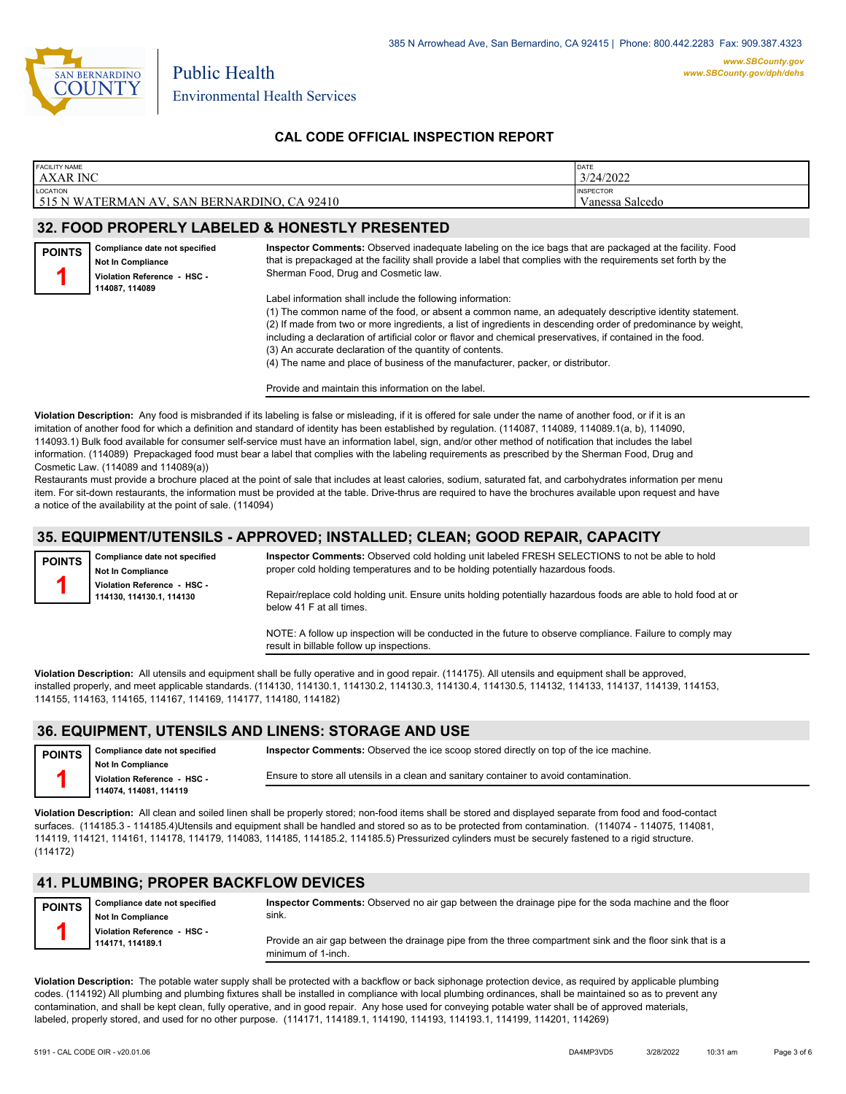

| <b>FACILITY NAME</b>                        | DATE             |
|---------------------------------------------|------------------|
| <b>AXAR INC</b>                             | 3/24/2022        |
| LOCATION                                    | <b>INSPECTOR</b> |
| 515 N WATERMAN AV, SAN BERNARDINO, CA 92410 | Vanessa Salcedo  |
|                                             |                  |

## **32. FOOD PROPERLY LABELED & HONESTLY PRESENTED**

| <b>POINTS</b> | Compliance date not specified<br><b>Not In Compliance</b><br>Violation Reference - HSC -<br>114087.114089 | Inspector Comments: Observed inadequate labeling on the ice bags that are packaged at the facility. Food<br>that is prepackaged at the facility shall provide a label that complies with the requirements set forth by the<br>Sherman Food, Drug and Cosmetic law.                                                                                                                                                                                                 |
|---------------|-----------------------------------------------------------------------------------------------------------|--------------------------------------------------------------------------------------------------------------------------------------------------------------------------------------------------------------------------------------------------------------------------------------------------------------------------------------------------------------------------------------------------------------------------------------------------------------------|
|               |                                                                                                           | Label information shall include the following information:<br>(1) The common name of the food, or absent a common name, an adequately descriptive identity statement.<br>(2) If made from two or more ingredients, a list of ingredients in descending order of predominance by weight,<br>including a declaration of artificial color or flavor and chemical preservatives, if contained in the food.<br>(3) An accurate declaration of the quantity of contents. |

(4) The name and place of business of the manufacturer, packer, or distributor.

Provide and maintain this information on the label.

**Violation Description:** Any food is misbranded if its labeling is false or misleading, if it is offered for sale under the name of another food, or if it is an imitation of another food for which a definition and standard of identity has been established by regulation. (114087, 114089, 114089.1(a, b), 114090, 114093.1) Bulk food available for consumer self-service must have an information label, sign, and/or other method of notification that includes the label information. (114089) Prepackaged food must bear a label that complies with the labeling requirements as prescribed by the Sherman Food, Drug and Cosmetic Law. (114089 and 114089(a))

Restaurants must provide a brochure placed at the point of sale that includes at least calories, sodium, saturated fat, and carbohydrates information per menu item. For sit-down restaurants, the information must be provided at the table. Drive-thrus are required to have the brochures available upon request and have a notice of the availability at the point of sale. (114094)

### **35. EQUIPMENT/UTENSILS - APPROVED; INSTALLED; CLEAN; GOOD REPAIR, CAPACITY**

**Compliance date not specified Not In Compliance Violation Reference - HSC - 114130, 114130.1, 114130 POINTS**

**1**

**Inspector Comments:** Observed cold holding unit labeled FRESH SELECTIONS to not be able to hold proper cold holding temperatures and to be holding potentially hazardous foods.

Repair/replace cold holding unit. Ensure units holding potentially hazardous foods are able to hold food at or below 41 F at all times.

NOTE: A follow up inspection will be conducted in the future to observe compliance. Failure to comply may result in billable follow up inspections.

**Violation Description:** All utensils and equipment shall be fully operative and in good repair. (114175). All utensils and equipment shall be approved, installed properly, and meet applicable standards. (114130, 114130.1, 114130.2, 114130.3, 114130.4, 114130.5, 114132, 114133, 114137, 114139, 114153, 114155, 114163, 114165, 114167, 114169, 114177, 114180, 114182)

### **36. EQUIPMENT, UTENSILS AND LINENS: STORAGE AND USE**

| <b>POINTS</b> | Compliance date not specified                           | <b>Inspector Comments:</b> Observed the ice scoop stored directly on top of the ice machine. |  |  |  |  |
|---------------|---------------------------------------------------------|----------------------------------------------------------------------------------------------|--|--|--|--|
|               | <b>Not In Compliance</b><br>Violation Reference - HSC - | Ensure to store all utensils in a clean and sanitary container to avoid contamination.       |  |  |  |  |
|               | 114074.114081.114119                                    |                                                                                              |  |  |  |  |

**Violation Description:** All clean and soiled linen shall be properly stored; non-food items shall be stored and displayed separate from food and food-contact surfaces. (114185.3 - 114185.4)Utensils and equipment shall be handled and stored so as to be protected from contamination. (114074 - 114075, 114081, 114119, 114121, 114161, 114178, 114179, 114083, 114185, 114185.2, 114185.5) Pressurized cylinders must be securely fastened to a rigid structure. (114172)

### **41. PLUMBING; PROPER BACKFLOW DEVICES**

| <b>POINTS</b> | Compliance date not specified<br><b>Not In Compliance</b> | Inspector Comments: Observed no air gap between the drainage pipe for the soda machine and the floor<br>sink.                   |
|---------------|-----------------------------------------------------------|---------------------------------------------------------------------------------------------------------------------------------|
|               | Violation Reference - HSC -<br>114171.114189.1            | Provide an air gap between the drainage pipe from the three compartment sink and the floor sink that is a<br>minimum of 1-inch. |
|               |                                                           |                                                                                                                                 |

**Violation Description:** The potable water supply shall be protected with a backflow or back siphonage protection device, as required by applicable plumbing codes. (114192) All plumbing and plumbing fixtures shall be installed in compliance with local plumbing ordinances, shall be maintained so as to prevent any contamination, and shall be kept clean, fully operative, and in good repair. Any hose used for conveying potable water shall be of approved materials, labeled, properly stored, and used for no other purpose. (114171, 114189.1, 114190, 114193, 114193.1, 114199, 114201, 114269)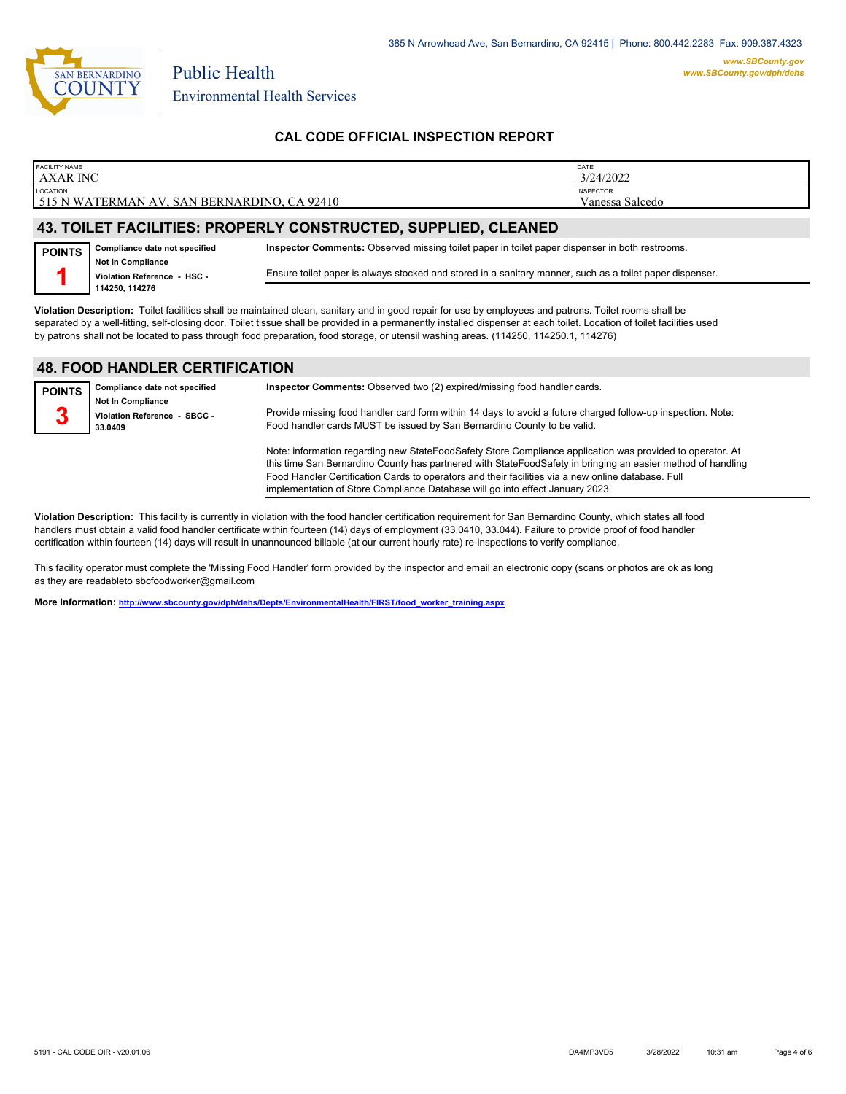

| <b>FACILITY NAME</b>                                           | DATE             |  |  |  |  |
|----------------------------------------------------------------|------------------|--|--|--|--|
| <b>AXAR INC</b>                                                | 3/24/2022        |  |  |  |  |
| LOCATION                                                       | <b>INSPECTOR</b> |  |  |  |  |
| 515 N WATERMAN AV, SAN BERNARDINO, CA 92410                    | Vanessa Salcedo  |  |  |  |  |
|                                                                |                  |  |  |  |  |
| 43. TOILET FACILITIES: PROPERLY CONSTRUCTED, SUPPLIED, CLEANED |                  |  |  |  |  |
|                                                                |                  |  |  |  |  |

#### **Compliance date not specified POINTS Inspector Comments:** Observed missing toilet paper in toilet paper dispenser in both restrooms.

**Not In Compliance Violation Reference - HSC - 114250, 114276 1**

Ensure toilet paper is always stocked and stored in a sanitary manner, such as a toilet paper dispenser.

**Violation Description:** Toilet facilities shall be maintained clean, sanitary and in good repair for use by employees and patrons. Toilet rooms shall be separated by a well-fitting, self-closing door. Toilet tissue shall be provided in a permanently installed dispenser at each toilet. Location of toilet facilities used by patrons shall not be located to pass through food preparation, food storage, or utensil washing areas. (114250, 114250.1, 114276)

## **48. FOOD HANDLER CERTIFICATION**

| <b>POINTS</b> | Compliance date not specified                                       | Inspector Comments: Observed two (2) expired/missing food handler cards.                                                                                                                                                                                                                                                                                                                                        |
|---------------|---------------------------------------------------------------------|-----------------------------------------------------------------------------------------------------------------------------------------------------------------------------------------------------------------------------------------------------------------------------------------------------------------------------------------------------------------------------------------------------------------|
| 3             | <b>Not In Compliance</b><br>Violation Reference - SBCC -<br>33.0409 | Provide missing food handler card form within 14 days to avoid a future charged follow-up inspection. Note:<br>Food handler cards MUST be issued by San Bernardino County to be valid.                                                                                                                                                                                                                          |
|               |                                                                     | Note: information regarding new StateFoodSafety Store Compliance application was provided to operator. At<br>this time San Bernardino County has partnered with StateFoodSafety in bringing an easier method of handling<br>Food Handler Certification Cards to operators and their facilities via a new online database. Full<br>implementation of Store Compliance Database will go into effect January 2023. |

**Violation Description:** This facility is currently in violation with the food handler certification requirement for San Bernardino County, which states all food handlers must obtain a valid food handler certificate within fourteen (14) days of employment (33.0410, 33.044). Failure to provide proof of food handler certification within fourteen (14) days will result in unannounced billable (at our current hourly rate) re-inspections to verify compliance.

This facility operator must complete the 'Missing Food Handler' form provided by the inspector and email an electronic copy (scans or photos are ok as long as they are readableto sbcfoodworker@gmail.com

**More Information: [http://www.sbcounty.gov/dph/dehs/Depts/EnvironmentalHealth/FIRST/food\\_worker\\_training.aspx](http://www.sbcounty.gov/dph/dehs/Depts/EnvironmentalHealth/FIRST/food_worker_training.aspx)**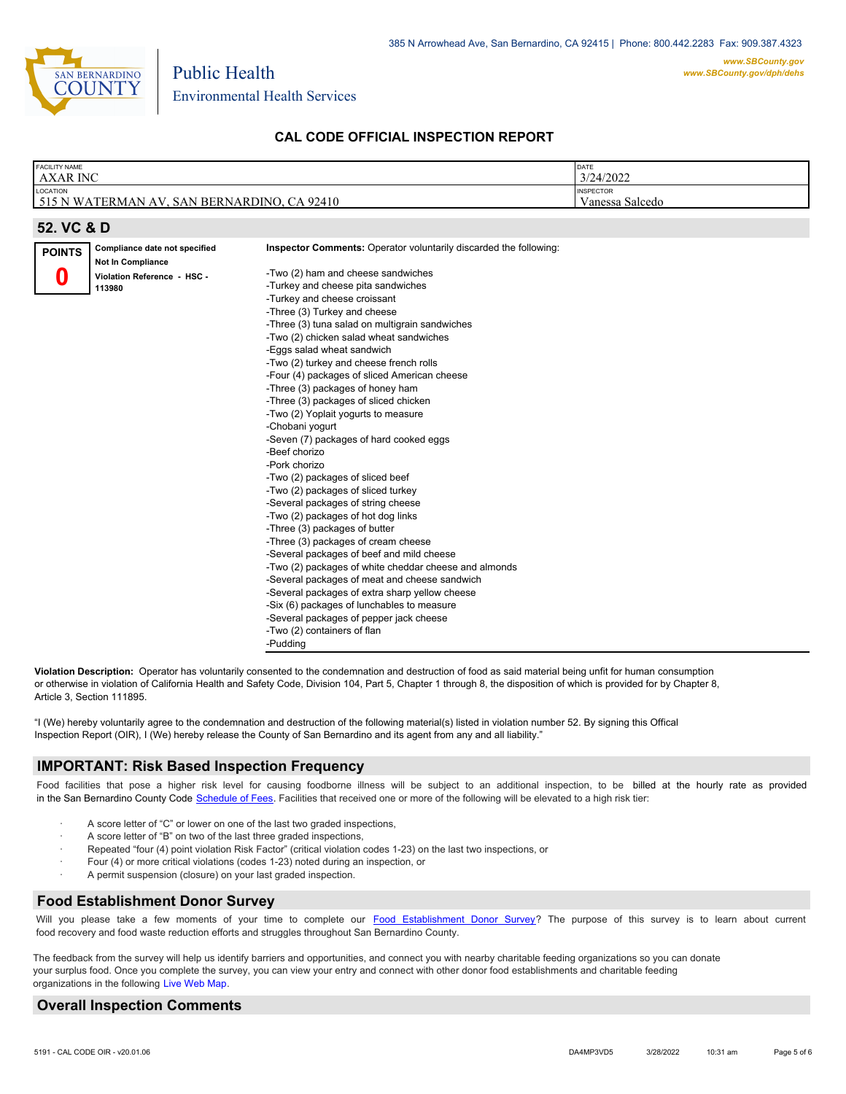

| <b>FACILITY NAME</b><br><b>AXAR INC</b> |                                                           |                                                                   | DATE<br>3/24/2022 |
|-----------------------------------------|-----------------------------------------------------------|-------------------------------------------------------------------|-------------------|
| LOCATION                                |                                                           |                                                                   | <b>INSPECTOR</b>  |
|                                         | 515 N WATERMAN AV, SAN BERNARDINO, CA 92410               |                                                                   | Vanessa Salcedo   |
|                                         |                                                           |                                                                   |                   |
| 52. VC & D                              |                                                           |                                                                   |                   |
| <b>POINTS</b>                           | Compliance date not specified<br><b>Not In Compliance</b> | Inspector Comments: Operator voluntarily discarded the following: |                   |
|                                         | Violation Reference - HSC -                               | -Two (2) ham and cheese sandwiches                                |                   |
|                                         | 113980                                                    | -Turkey and cheese pita sandwiches                                |                   |
|                                         |                                                           | -Turkey and cheese croissant                                      |                   |
|                                         |                                                           | -Three (3) Turkey and cheese                                      |                   |
|                                         |                                                           | -Three (3) tuna salad on multigrain sandwiches                    |                   |
|                                         |                                                           | -Two (2) chicken salad wheat sandwiches                           |                   |
|                                         |                                                           | -Eggs salad wheat sandwich                                        |                   |
|                                         |                                                           | -Two (2) turkey and cheese french rolls                           |                   |
|                                         |                                                           | -Four (4) packages of sliced American cheese                      |                   |
|                                         |                                                           | -Three (3) packages of honey ham                                  |                   |
|                                         |                                                           | -Three (3) packages of sliced chicken                             |                   |
|                                         |                                                           | -Two (2) Yoplait yogurts to measure                               |                   |
|                                         |                                                           | -Chobani yogurt                                                   |                   |
|                                         |                                                           | -Seven (7) packages of hard cooked eggs                           |                   |
|                                         |                                                           | -Beef chorizo                                                     |                   |
|                                         |                                                           | -Pork chorizo                                                     |                   |
|                                         |                                                           | -Two (2) packages of sliced beef                                  |                   |
|                                         |                                                           | -Two (2) packages of sliced turkey                                |                   |
|                                         |                                                           | -Several packages of string cheese                                |                   |
|                                         |                                                           | -Two (2) packages of hot dog links                                |                   |
|                                         |                                                           | -Three (3) packages of butter                                     |                   |
|                                         |                                                           | -Three (3) packages of cream cheese                               |                   |
|                                         |                                                           | -Several packages of beef and mild cheese                         |                   |
|                                         |                                                           | -Two (2) packages of white cheddar cheese and almonds             |                   |
|                                         |                                                           | -Several packages of meat and cheese sandwich                     |                   |
|                                         |                                                           | -Several packages of extra sharp yellow cheese                    |                   |
|                                         |                                                           | -Six (6) packages of lunchables to measure                        |                   |
|                                         |                                                           | -Several packages of pepper jack cheese                           |                   |
|                                         |                                                           | -Two (2) containers of flan                                       |                   |

**Violation Description:** Operator has voluntarily consented to the condemnation and destruction of food as said material being unfit for human consumption or otherwise in violation of California Health and Safety Code, Division 104, Part 5, Chapter 1 through 8, the disposition of which is provided for by Chapter 8, Article 3, Section 111895.

"I (We) hereby voluntarily agree to the condemnation and destruction of the following material(s) listed in violation number 52. By signing this Offical Inspection Report (OIR), I (We) hereby release the County of San Bernardino and its agent from any and all liability."

### **IMPORTANT: Risk Based Inspection Frequency**

Food facilities that pose a higher risk level for causing foodborne illness will be subject to an additional inspection, to be billed at the hourly rate as provided in the San Bernardino Count[y Code Schedule of Fees. Facilitie](https://codelibrary.amlegal.com/codes/sanbernardino/latest/sanberncty_ca/0-0-0-122474#JD_16.0213B)s that received one or more of the following will be elevated to a high risk tier:

- A score letter of "C" or lower on one of the last two graded inspections,
- A score letter of "B" on two of the last three graded inspections,
- Repeated "four (4) point violation Risk Factor" (critical violation codes 1-23) on the last two inspections, or

-Pudding

- · Four (4) or more critical violations (codes 1-23) noted during an inspection, or
- A permit suspension (closure) on your last graded inspection.

### **Food Establishment Donor Survey**

Will you please take a few moments of your time to co[mplete our Food Establishment Donor Survey?](https://survey123.arcgis.com/share/626bb0fb21674c82832b0c0d557c5e80?field:faid=FA0036590&field:facility_name=AXAR%20INC¢er=,&field:phone=6266887391) The purpose of this survey is to learn about current food recovery and food waste reduction efforts and struggles throughout San Bernardino County.

The feedback from the survey will help us identify barriers and opportunities, and connect you with nearby charitable feeding organizations so you can donate your surplus food. Once you complete the survey, you can view your entry and connect with other donor food establishments and charitable feeding organizations in the fol[lowing Live Web Map.](https://arcg.is/WvjGb)

### **Overall Inspection Comments**